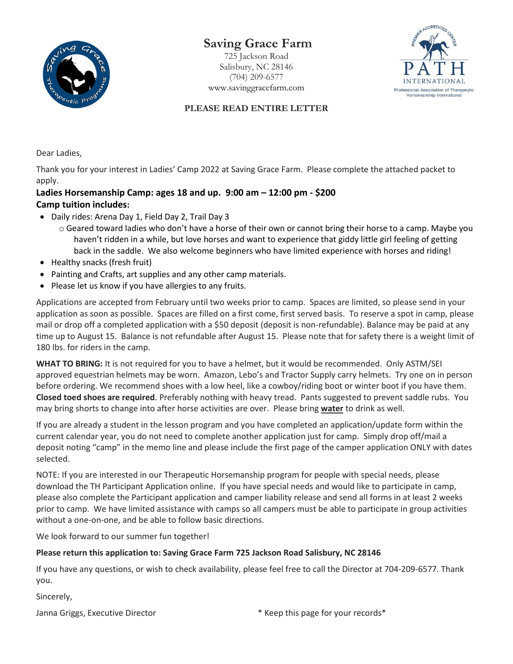

# **Saving Grace Farm**

725 Jackson Road Salisbury, NC 28146 (704) 209-6577 [www.savinggracefarm.com](http://www.savinggracefarm.com/)



### **PLEASE READ ENTIRE LETTER**

Dear Ladies,

Thank you for your interest in Ladies' Camp 2022 at Saving Grace Farm. Please complete the attached packet to apply.

### **Ladies Horsemanship Camp: ages 18 and up. 9:00 am – 12:00 pm - \$200 Camp tuition includes:**

- Daily rides: Arena Day 1, Field Day 2, Trail Day 3
	- o Geared toward ladies who don't have a horse of their own or cannot bring their horse to a camp. Maybe you haven't ridden in a while, but love horses and want to experience that giddy little girl feeling of getting back in the saddle. We also welcome beginners who have limited experience with horses and riding!
- Healthy snacks (fresh fruit)
- Painting and Crafts, art supplies and any other camp materials.
- Please let us know if you have allergies to any fruits.

Applications are accepted from February until two weeks prior to camp. Spaces are limited, so please send in your application as soon as possible. Spaces are filled on a first come, first served basis. To reserve a spot in camp, please mail or drop off a completed application with a \$50 deposit (deposit is non-refundable). Balance may be paid at any time up to August 15. Balance is not refundable after August 15. Please note that for safety there is a weight limit of 180 lbs. for riders in the camp.

**WHAT TO BRING:** It is not required for you to have a helmet, but it would be recommended. Only ASTM/SEI approved equestrian helmets may be worn. Amazon, Lebo's and Tractor Supply carry helmets. Try one on in person before ordering. We recommend shoes with a low heel, like a cowboy/riding boot or winter boot if you have them. **Closed toed shoes are required**. Preferably nothing with heavy tread. Pants suggested to prevent saddle rubs. You may bring shorts to change into after horse activities are over. Please bring **water** to drink as well.

If you are already a student in the lesson program and you have completed an application/update form within the current calendar year, you do not need to complete another application just for camp. Simply drop off/mail a deposit noting "camp" in the memo line and please include the first page of the camper application ONLY with dates selected.

NOTE: If you are interested in our Therapeutic Horsemanship program for people with special needs, please download the TH Participant Application online. If you have special needs and would like to participate in camp, please also complete the Participant application and camper liability release and send all forms in at least 2 weeks prior to camp. We have limited assistance with camps so all campers must be able to participate in group activities without a one-on-one, and be able to follow basic directions.

We look forward to our summer fun together!

### **Please return this application to: Saving Grace Farm 725 Jackson Road Salisbury, NC 28146**

If you have any questions, or wish to check availability, please feel free to call the Director at 704-209-6577. Thank you.

Sincerely,

Janna Griggs, Executive Director **Accord 2018** \* Keep this page for your records \*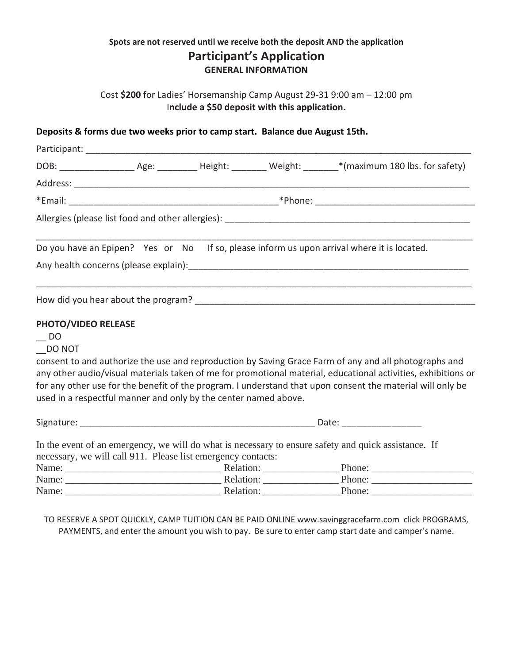## **Spots are not reserved until we receive both the deposit AND the application Participant's Application GENERAL INFORMATION**

Cost **\$200** for Ladies' Horsemanship Camp August 29-31 9:00 am – 12:00 pm I**nclude a \$50 deposit with this application.**

### **Deposits & forms due two weeks prior to camp start. Balance due August 15th.**

|                     |                                                                 |  |  | Do you have an Epipen? Yes or No If so, please inform us upon arrival where it is located.                                                                                                                                     |  |  |
|---------------------|-----------------------------------------------------------------|--|--|--------------------------------------------------------------------------------------------------------------------------------------------------------------------------------------------------------------------------------|--|--|
|                     |                                                                 |  |  |                                                                                                                                                                                                                                |  |  |
|                     |                                                                 |  |  | How did you hear about the program? The same state of the state of the state of the state of the state of the state of the state of the state of the state of the state of the state of the state of the state of the state of |  |  |
| PHOTO/VIDEO RELEASE |                                                                 |  |  |                                                                                                                                                                                                                                |  |  |
| $-$ DO              |                                                                 |  |  |                                                                                                                                                                                                                                |  |  |
| DO NOT              |                                                                 |  |  |                                                                                                                                                                                                                                |  |  |
|                     |                                                                 |  |  | consent to and authorize the use and reproduction by Saving Grace Farm of any and all photographs and                                                                                                                          |  |  |
|                     |                                                                 |  |  | any other audio/visual materials taken of me for promotional material, educational activities, exhibitions or                                                                                                                  |  |  |
|                     |                                                                 |  |  | for any other use for the benefit of the program. I understand that upon consent the material will only be                                                                                                                     |  |  |
|                     | used in a respectful manner and only by the center named above. |  |  |                                                                                                                                                                                                                                |  |  |
|                     |                                                                 |  |  |                                                                                                                                                                                                                                |  |  |
|                     |                                                                 |  |  | In the event of an emergency, we will do what is necessary to ensure safety and quick assistance. If                                                                                                                           |  |  |
|                     | necessary, we will call 911. Please list emergency contacts:    |  |  |                                                                                                                                                                                                                                |  |  |
|                     |                                                                 |  |  |                                                                                                                                                                                                                                |  |  |
|                     |                                                                 |  |  |                                                                                                                                                                                                                                |  |  |
|                     |                                                                 |  |  |                                                                                                                                                                                                                                |  |  |

TO RESERVE A SPOT QUICKLY, CAMP TUITION CAN BE PAID ONLINE www.savinggracefarm.com click PROGRAMS, PAYMENTS, and enter the amount you wish to pay. Be sure to enter camp start date and camper's name.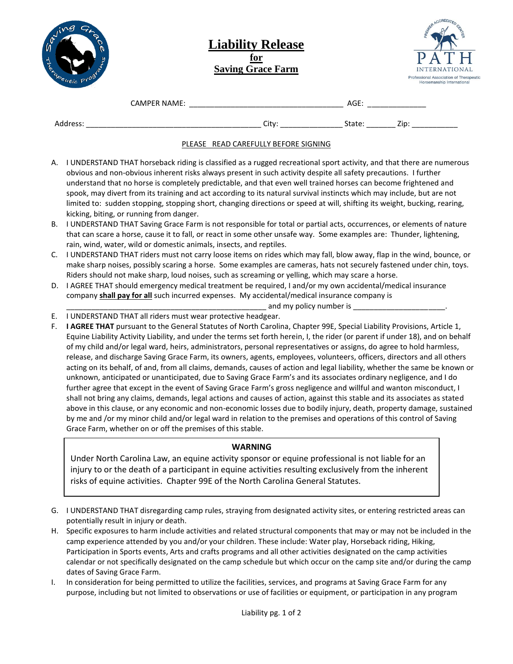| ♦<br><b>SP</b> |                   |     |
|----------------|-------------------|-----|
|                | Termentic<br>Prog | REA |

### **Liability Release for Saving Grace Farm**



|                    | <b>CAMPER NAME:</b> |                   | AGF<br>----<br>__ |                   |
|--------------------|---------------------|-------------------|-------------------|-------------------|
| Address<br>$-0.5.$ |                     | City <sup>-</sup> |                   | 7in<br><b>LIN</b> |

#### PLEASE READ CAREFULLY BEFORE SIGNING

- A. I UNDERSTAND THAT horseback riding is classified as a rugged recreational sport activity, and that there are numerous obvious and non-obvious inherent risks always present in such activity despite all safety precautions. I further understand that no horse is completely predictable, and that even well trained horses can become frightened and spook, may divert from its training and act according to its natural survival instincts which may include, but are not limited to: sudden stopping, stopping short, changing directions or speed at will, shifting its weight, bucking, rearing, kicking, biting, or running from danger.
- B. I UNDERSTAND THAT Saving Grace Farm is not responsible for total or partial acts, occurrences, or elements of nature that can scare a horse, cause it to fall, or react in some other unsafe way. Some examples are: Thunder, lightening, rain, wind, water, wild or domestic animals, insects, and reptiles.
- C. I UNDERSTAND THAT riders must not carry loose items on rides which may fall, blow away, flap in the wind, bounce, or make sharp noises, possibly scaring a horse. Some examples are cameras, hats not securely fastened under chin, toys. Riders should not make sharp, loud noises, such as screaming or yelling, which may scare a horse.
- D. I AGREE THAT should emergency medical treatment be required, I and/or my own accidental/medical insurance company **shall pay for all** such incurred expenses. My accidental/medical insurance company is
	- and my policy number is \_
- E. I UNDERSTAND THAT all riders must wear protective headgear.
- F. **I AGREE THAT** pursuant to the General Statutes of North Carolina, Chapter 99E, Special Liability Provisions, Article 1, Equine Liability Activity Liability, and under the terms set forth herein, I, the rider (or parent if under 18), and on behalf of my child and/or legal ward, heirs, administrators, personal representatives or assigns, do agree to hold harmless, release, and discharge Saving Grace Farm, its owners, agents, employees, volunteers, officers, directors and all others acting on its behalf, of and, from all claims, demands, causes of action and legal liability, whether the same be known or unknown, anticipated or unanticipated, due to Saving Grace Farm's and its associates ordinary negligence, and I do further agree that except in the event of Saving Grace Farm's gross negligence and willful and wanton misconduct, I shall not bring any claims, demands, legal actions and causes of action, against this stable and its associates as stated above in this clause, or any economic and non-economic losses due to bodily injury, death, property damage, sustained by me and /or my minor child and/or legal ward in relation to the premises and operations of this control of Saving Grace Farm, whether on or off the premises of this stable.

### **WARNING**

Under North Carolina Law, an equine activity sponsor or equine professional is not liable for an injury to or the death of a participant in equine activities resulting exclusively from the inherent risks of equine activities. Chapter 99E of the North Carolina General Statutes.

- G. I UNDERSTAND THAT disregarding camp rules, straying from designated activity sites, or entering restricted areas can potentially result in injury or death.
- H. Specific exposures to harm include activities and related structural components that may or may not be included in the camp experience attended by you and/or your children. These include: Water play, Horseback riding, Hiking, Participation in Sports events, Arts and crafts programs and all other activities designated on the camp activities calendar or not specifically designated on the camp schedule but which occur on the camp site and/or during the camp dates of Saving Grace Farm.
- I. In consideration for being permitted to utilize the facilities, services, and programs at Saving Grace Farm for any purpose, including but not limited to observations or use of facilities or equipment, or participation in any program